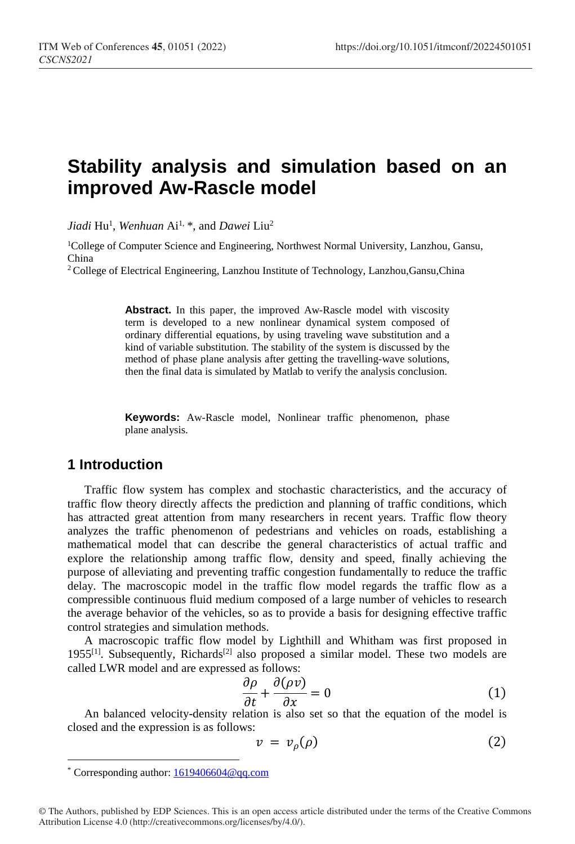# **Stability analysis and simulation based on an improved Aw-Rascle model**

*Jiadi* Hu1 , *Wenhuan* Ai1, [\\*,](#page-0-0) and *Dawei* Liu2

<sup>1</sup>College of Computer Science and Engineering, Northwest Normal University, Lanzhou, Gansu, China

2 College of Electrical Engineering, Lanzhou Institute of Technology, Lanzhou,Gansu,China

**Abstract.** In this paper, the improved Aw-Rascle model with viscosity term is developed to a new nonlinear dynamical system composed of ordinary differential equations, by using traveling wave substitution and a kind of variable substitution. The stability of the system is discussed by the method of phase plane analysis after getting the travelling-wave solutions, then the final data is simulated by Matlab to verify the analysis conclusion.

**Keywords:** Aw-Rascle model, Nonlinear traffic phenomenon, phase plane analysis.

## **1 Introduction**

Traffic flow system has complex and stochastic characteristics, and the accuracy of traffic flow theory directly affects the prediction and planning of traffic conditions, which has attracted great attention from many researchers in recent years. Traffic flow theory analyzes the traffic phenomenon of pedestrians and vehicles on roads, establishing a mathematical model that can describe the general characteristics of actual traffic and explore the relationship among traffic flow, density and speed, finally achieving the purpose of alleviating and preventing traffic congestion fundamentally to reduce the traffic delay. The macroscopic model in the traffic flow model regards the traffic flow as a compressible continuous fluid medium composed of a large number of vehicles to research the average behavior of the vehicles, so as to provide a basis for designing effective traffic control strategies and simulation methods.

A macroscopic traffic flow model by Lighthill and Whitham was first proposed in 1955<sup>[1]</sup>. Subsequently, Richards<sup>[2]</sup> also proposed a similar model. These two models are called LWR model and are expressed as follows:

$$
\frac{\partial \rho}{\partial t} + \frac{\partial (\rho v)}{\partial x} = 0 \tag{1}
$$

An balanced velocity-density relation is also set so that the equation of the model is  $\frac{\partial t}{\partial t} + \frac{\partial x}{\partial x} = 0$  (1) closed and the expression is as follows:

$$
v = v_{\rho}(\rho) \tag{2}
$$

 $\overline{a}$ 

<span id="page-0-0"></span>© The Authors, published by EDP Sciences. This is an open access article distributed under the terms of the Creative Commons Attribution License 4.0 (http://creativecommons.org/licenses/by/4.0/).

<sup>\*</sup> Corresponding author: 1619406604@qq.com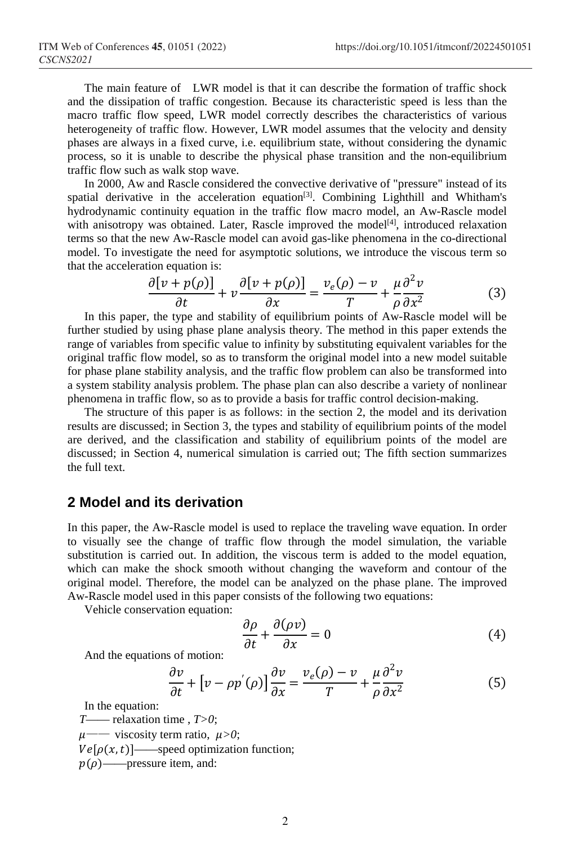The main feature of LWR model is that it can describe the formation of traffic shock and the dissipation of traffic congestion. Because its characteristic speed is less than the macro traffic flow speed, LWR model correctly describes the characteristics of various heterogeneity of traffic flow. However, LWR model assumes that the velocity and density phases are always in a fixed curve, i.e. equilibrium state, without considering the dynamic process, so it is unable to describe the physical phase transition and the non-equilibrium traffic flow such as walk stop wave.

In 2000, Aw and Rascle considered the convective derivative of "pressure" instead of its spatial derivative in the acceleration equation[3]. Combining Lighthill and Whitham's hydrodynamic continuity equation in the traffic flow macro model, an Aw-Rascle model with anisotropy was obtained. Later, Rascle improved the model<sup>[4]</sup>, introduced relaxation terms so that the new Aw-Rascle model can avoid gas-like phenomena in the co-directional model. To investigate the need for asymptotic solutions, we introduce the viscous term so that the acceleration equation is:

$$
\frac{\partial [v + p(\rho)]}{\partial t} + v \frac{\partial [v + p(\rho)]}{\partial x} = \frac{v_e(\rho) - v}{T} + \frac{\mu}{\rho} \frac{\partial^2 v}{\partial x^2}
$$
(3)

In this paper, the type and stability of equilibrium points of Aw-Rascle model will be further studied by using phase plane analysis theory. The method in this paper extends the range of variables from specific value to infinity by substituting equivalent variables for the original traffic flow model, so as to transform the original model into a new model suitable for phase plane stability analysis, and the traffic flow problem can also be transformed into a system stability analysis problem. The phase plan can also describe a variety of nonlinear phenomena in traffic flow, so as to provide a basis for traffic control decision-making.

The structure of this paper is as follows: in the section 2, the model and its derivation results are discussed; in Section 3, the types and stability of equilibrium points of the model are derived, and the classification and stability of equilibrium points of the model are discussed; in Section 4, numerical simulation is carried out; The fifth section summarizes the full text.

## **2 Model and its derivation**

In this paper, the Aw-Rascle model is used to replace the traveling wave equation. In order to visually see the change of traffic flow through the model simulation, the variable substitution is carried out. In addition, the viscous term is added to the model equation, which can make the shock smooth without changing the waveform and contour of the original model. Therefore, the model can be analyzed on the phase plane. The improved Aw-Rascle model used in this paper consists of the following two equations:

Vehicle conservation equation:

$$
\frac{\partial \rho}{\partial t} + \frac{\partial (\rho v)}{\partial x} = 0 \tag{4}
$$

And the equations of motion:

$$
\frac{\partial v}{\partial t} + \left[ v - \rho p'(\rho) \right] \frac{\partial v}{\partial x} = \frac{v_e(\rho) - v}{T} + \frac{\mu}{\rho} \frac{\partial^2 v}{\partial x^2}
$$
(5)

In the equation:

*T*—— relaxation time , *T>0*;  $\mu$ —— viscosity term ratio,  $\mu > 0$ ;  $Ve[\rho(x, t)]$ —speed optimization function;  $p(\rho)$ ——pressure item, and: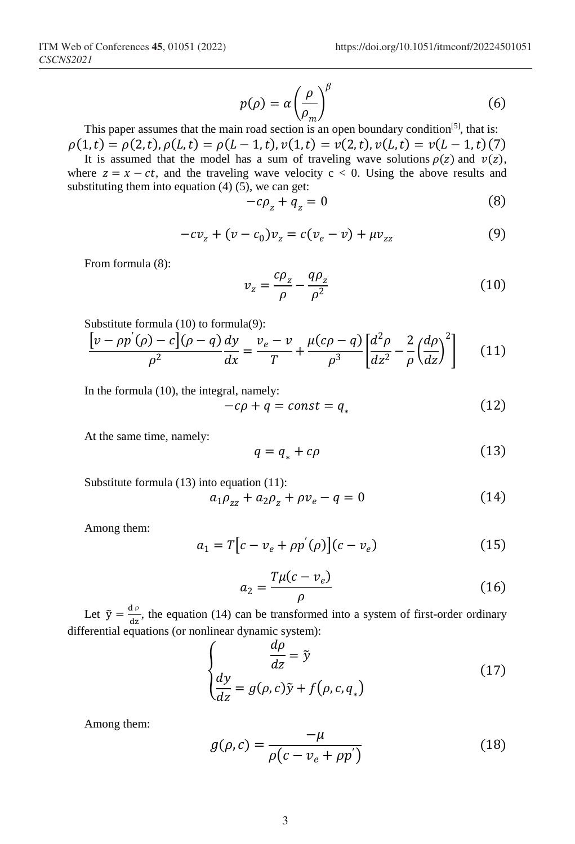$$
p(\rho) = \alpha \left(\frac{\rho}{\rho_m}\right)^{\beta} \tag{6}
$$

This paper assumes that the main road section is an open boundary condition<sup>[5]</sup>, that is:  $\rho(1, t) = \rho(2, t), \rho(L, t) = \rho(L - 1, t), \nu(1, t) = \nu(2, t), \nu(L, t) = \nu(L - 1, t)$ (7)

It is assumed that the model has a sum of traveling wave solutions  $\rho(z)$  and  $v(z)$ , where  $z = x - ct$ , and the traveling wave velocity  $c < 0$ . Using the above results and substituting them into equation  $(4)$   $(5)$ , we can get:

$$
-c\rho_z + q_z = 0 \tag{8}
$$

$$
-cv_z + (v - c_0)v_z = c(v_e - v) + \mu v_{zz}
$$
 (9)

From formula (8):

$$
v_z = \frac{c\rho_z}{\rho} - \frac{q\rho_z}{\rho^2} \tag{10}
$$

Substitute formula (10) to formula(9):

$$
\frac{\left[v - \rho p'(\rho) - c\right](\rho - q)}{\rho^2} \frac{dy}{dx} = \frac{v_e - v}{T} + \frac{\mu(c\rho - q)}{\rho^3} \left[\frac{d^2\rho}{dz^2} - \frac{2}{\rho} \left(\frac{d\rho}{dz}\right)^2\right] \tag{11}
$$

In the formula (10), the integral, namely:

$$
-c\rho + q = const = q_* \tag{12}
$$

At the same time, namely:

$$
q = q_* + c\rho \tag{13}
$$

Substitute formula (13) into equation (11):

$$
a_1 \rho_{zz} + a_2 \rho_z + \rho v_e - q = 0 \tag{14}
$$

Among them:

$$
a_1 = T[c - v_e + \rho p'(\rho)](c - v_e)
$$
 (15)

$$
a_2 = \frac{T\mu(c - v_e)}{\rho} \tag{16}
$$

Let  $\tilde{y} = \frac{d\rho}{dz}$ , the equation (14) can be transformed into a system of first-order ordinary differential equations (or nonlinear dynamic system):

$$
\begin{cases}\n\frac{d\rho}{dz} = \tilde{y} \\
\frac{dy}{dz} = g(\rho, c)\tilde{y} + f(\rho, c, q_*)\n\end{cases}
$$
\n(17)

Among them:

$$
g(\rho, c) = \frac{-\mu}{\rho(c - v_e + \rho p')}
$$
\n(18)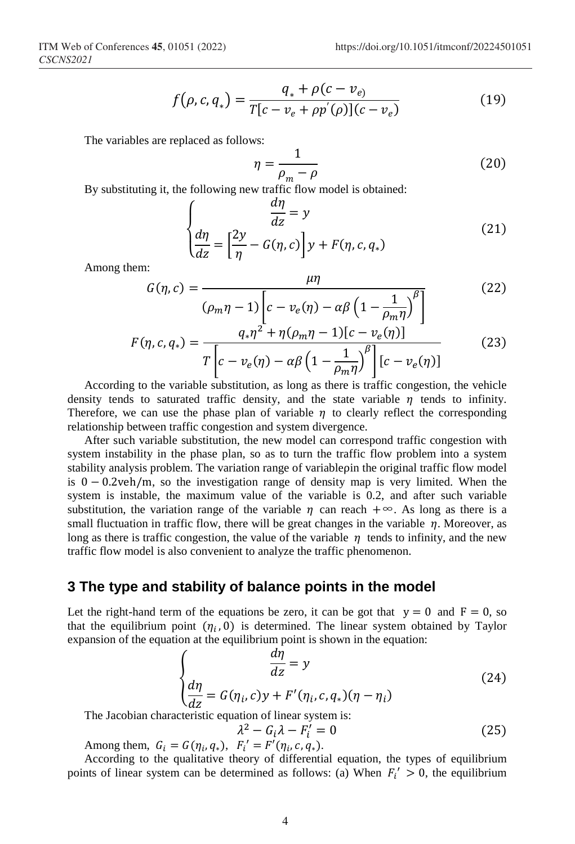$$
f(\rho, c, q_*) = \frac{q_* + \rho(c - v_e)}{T[c - v_e + \rho p'(\rho)](c - v_e)}
$$
(19)

The variables are replaced as follows:

$$
\eta = \frac{1}{\rho_m - \rho} \tag{20}
$$

By substituting it, the following new traffic flow model is obtained:

$$
\begin{cases}\n\frac{d\eta}{dz} = y \\
\frac{d\eta}{dz} = \left[\frac{2y}{\eta} - G(\eta, c)\right] y + F(\eta, c, q_*)\n\end{cases}
$$
\n(21)

Among them:

$$
G(\eta, c) = \frac{\mu\eta}{(\rho_m \eta - 1)\left[c - v_e(\eta) - \alpha\beta \left(1 - \frac{1}{\rho_m \eta}\right)^{\beta}\right]}
$$
(22)

$$
F(\eta, c, q_*) = \frac{q_* \eta^2 + \eta(\rho_m \eta - 1)[c - v_e(\eta)]}{T \left[c - v_e(\eta) - \alpha \beta \left(1 - \frac{1}{\rho_m \eta}\right)^{\beta}\right] [c - v_e(\eta)]}
$$
(23)

According to the variable substitution, as long as there is traffic congestion, the vehicle density tends to saturated traffic density, and the state variable  $\eta$  tends to infinity. Therefore, we can use the phase plan of variable  $\eta$  to clearly reflect the corresponding relationship between traffic congestion and system divergence.

After such variable substitution, the new model can correspond traffic congestion with system instability in the phase plan, so as to turn the traffic flow problem into a system stability analysis problem. The variation range of variableρin the original traffic flow model is 0 − 0.2veh/m, so the investigation range of density map is very limited. When the system is instable, the maximum value of the variable is 0.2, and after such variable substitution, the variation range of the variable  $\eta$  can reach +∞. As long as there is a small fluctuation in traffic flow, there will be great changes in the variable  $\eta$ . Moreover, as long as there is traffic congestion, the value of the variable  $\eta$  tends to infinity, and the new traffic flow model is also convenient to analyze the traffic phenomenon.

#### **3 The type and stability of balance points in the model**

Let the right-hand term of the equations be zero, it can be got that  $y = 0$  and  $F = 0$ , so that the equilibrium point  $(\eta_i, 0)$  is determined. The linear system obtained by Taylor expansion of the equation at the equilibrium point is shown in the equation:

$$
\begin{cases}\n\frac{d\eta}{dz} = y \\
\frac{d\eta}{dz} = G(\eta_i, c)y + F'(\eta_i, c, q_*)(\eta - \eta_i)\n\end{cases}
$$
\nThe Jacobian characteristic equation of linear system is:

$$
\lambda^2 - G_i \lambda - F'_i = 0 \tag{25}
$$

Among them,  $G_i = G(\eta_i, q_*)$ ,  $F_i' = F'(\eta_i, c, q_*)$ .

According to the qualitative theory of differential equation, the types of equilibrium points of linear system can be determined as follows: (a) When  $F_i' > 0$ , the equilibrium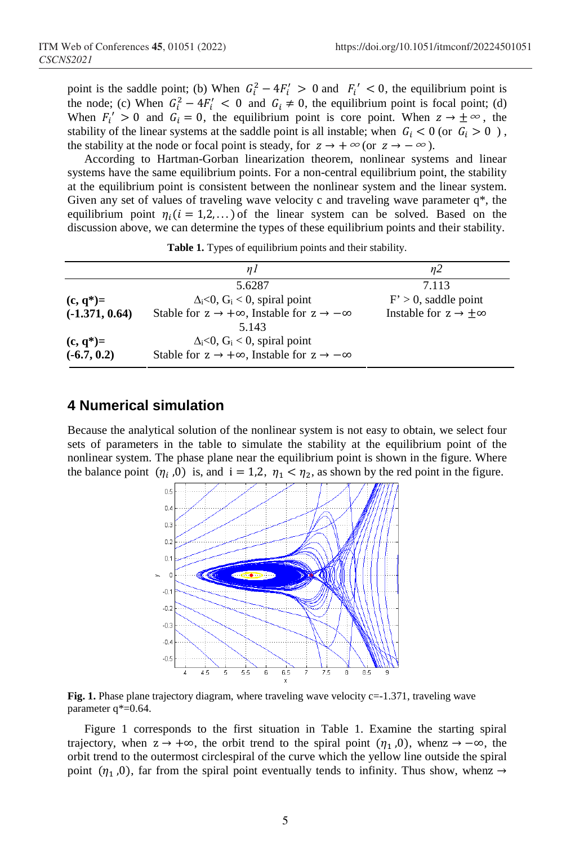point is the saddle point; (b) When  $G_i^2 - 4F_i' > 0$  and  $F_i' < 0$ , the equilibrium point is the node; (c) When  $G_i^2 - 4F_i' < 0$  and  $G_i \neq 0$ , the equilibrium point is focal point; (d) When  $F'_i > 0$  and  $G_i = 0$ , the equilibrium point is core point. When  $z \to \pm \infty$ , the stability of the linear systems at the saddle point is all instable; when  $G_i < 0$  (or  $G_i > 0$ ), the stability at the node or focal point is steady, for  $z \to +\infty$  (or  $z \to -\infty$ ).

According to Hartman-Gorban linearization theorem, nonlinear systems and linear systems have the same equilibrium points. For a non-central equilibrium point, the stability at the equilibrium point is consistent between the nonlinear system and the linear system. Given any set of values of traveling wave velocity c and traveling wave parameter  $q^*$ , the equilibrium point  $\eta_i$  ( $i = 1,2,...$ ) of the linear system can be solved. Based on the discussion above, we can determine the types of these equilibrium points and their stability.

|                  | nI                                                                 | n2                                      |  |  |
|------------------|--------------------------------------------------------------------|-----------------------------------------|--|--|
|                  | 5.6287                                                             | 7.113                                   |  |  |
| $(c, q^*)=$      | $\Delta_i$ <0, G <sub>i</sub> < 0, spiral point                    | $F' > 0$ , saddle point                 |  |  |
| $(-1.371, 0.64)$ | Stable for $z \to +\infty$ , Instable for $z \to -\infty$<br>5.143 | Instable for $z \rightarrow \pm \infty$ |  |  |
| $(c, q^*)=$      | $\Delta_i$ <0, G <sub>i</sub> < 0, spiral point                    |                                         |  |  |
| $(-6.7, 0.2)$    | Stable for $z \to +\infty$ , Instable for $z \to -\infty$          |                                         |  |  |

|  | Table 1. Types of equilibrium points and their stability. |  |  |
|--|-----------------------------------------------------------|--|--|
|  |                                                           |  |  |

# **4 Numerical simulation**

Because the analytical solution of the nonlinear system is not easy to obtain, we select four sets of parameters in the table to simulate the stability at the equilibrium point of the nonlinear system. The phase plane near the equilibrium point is shown in the figure. Where the balance point  $(\eta_i, 0)$  is, and  $i = 1, 2, \eta_1 < \eta_2$ , as shown by the red point in the figure.



**Fig. 1.** Phase plane trajectory diagram, where traveling wave velocity c=-1.371, traveling wave parameter q\*=0.64.

Figure 1 corresponds to the first situation in Table 1. Examine the starting spiral trajectory, when  $z \to +\infty$ , the orbit trend to the spiral point  $(\eta_1, 0)$ , when  $z \to -\infty$ , the orbit trend to the outermost circlespiral of the curve which the yellow line outside the spiral point ( $\eta_1$ ,0), far from the spiral point eventually tends to infinity. Thus show, whenz  $\rightarrow$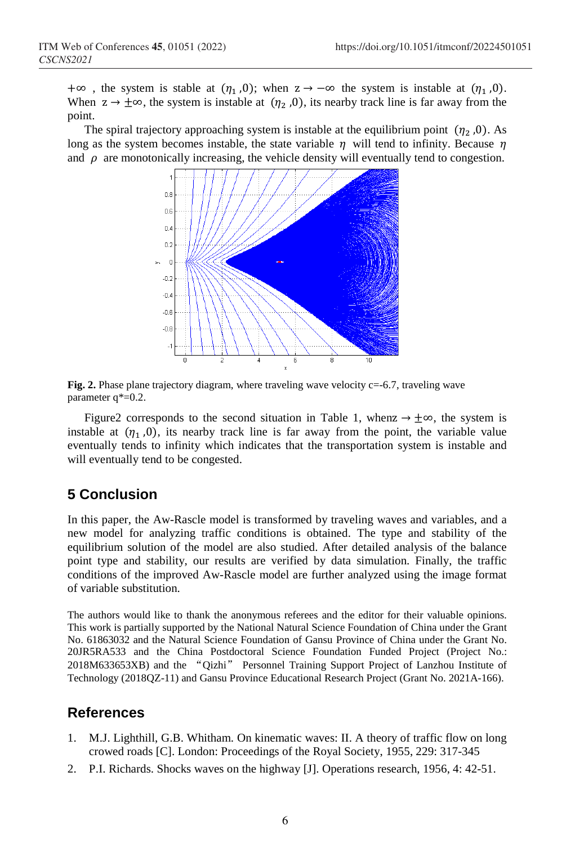+∞, the system is stable at  $(\eta_1, 0)$ ; when  $z \to -\infty$  the system is instable at  $(\eta_1, 0)$ . When  $z \to \pm \infty$ , the system is instable at  $(\eta_2, 0)$ , its nearby track line is far away from the point.

The spiral trajectory approaching system is instable at the equilibrium point  $(\eta_2, 0)$ . As long as the system becomes instable, the state variable  $\eta$  will tend to infinity. Because  $\eta$ and  $\rho$  are monotonically increasing, the vehicle density will eventually tend to congestion.



**Fig. 2.** Phase plane trajectory diagram, where traveling wave velocity c=-6.7, traveling wave parameter q\*=0.2.

Figure2 corresponds to the second situation in Table 1, when  $z \rightarrow \pm \infty$ , the system is instable at  $(\eta_1, 0)$ , its nearby track line is far away from the point, the variable value eventually tends to infinity which indicates that the transportation system is instable and will eventually tend to be congested.

# **5 Conclusion**

In this paper, the Aw-Rascle model is transformed by traveling waves and variables, and a new model for analyzing traffic conditions is obtained. The type and stability of the equilibrium solution of the model are also studied. After detailed analysis of the balance point type and stability, our results are verified by data simulation. Finally, the traffic conditions of the improved Aw-Rascle model are further analyzed using the image format of variable substitution.

The authors would like to thank the anonymous referees and the editor for their valuable opinions. This work is partially supported by the National Natural Science Foundation of China under the Grant No. 61863032 and the Natural Science Foundation of Gansu Province of China under the Grant No. 20JR5RA533 and the China Postdoctoral Science Foundation Funded Project (Project No.: 2018M633653XB) and the "Qizhi" Personnel Training Support Project of Lanzhou Institute of Technology (2018QZ-11) and Gansu Province Educational Research Project (Grant No. 2021A-166).

### **References**

- 1. M.J. Lighthill, G.B. Whitham. On kinematic waves: II. A theory of traffic flow on long crowed roads [C]. London: Proceedings of the Royal Society, 1955, 229: 317-345
- 2. P.I. Richards. Shocks waves on the highway [J]. Operations research, 1956, 4: 42-51.